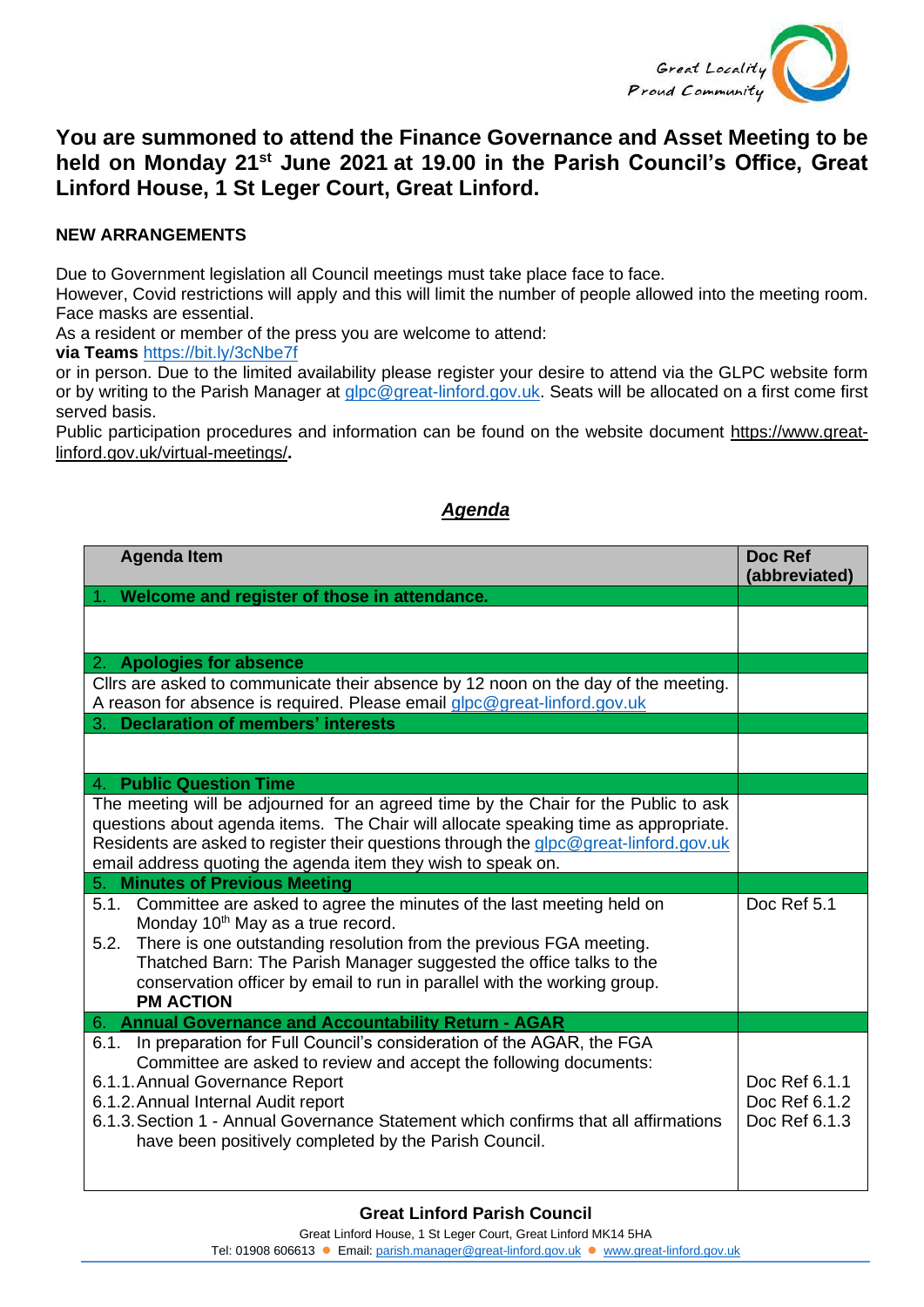

## **You are summoned to attend the Finance Governance and Asset Meeting to be held on Monday 21st June 2021 at 19.00 in the Parish Council's Office, Great Linford House, 1 St Leger Court, Great Linford.**

## **NEW ARRANGEMENTS**

Due to Government legislation all Council meetings must take place face to face.

However, Covid restrictions will apply and this will limit the number of people allowed into the meeting room. Face masks are essential.

As a resident or member of the press you are welcome to attend:

**via Teams** <https://bit.ly/3cNbe7f>

or in person. Due to the limited availability please register your desire to attend via the GLPC website form or by writing to the Parish Manager at [glpc@great-linford.gov.uk.](mailto:glpc@great-linford.gov.uk) Seats will be allocated on a first come first served basis.

Public participation procedures and information can be found on the website document [https://www.great](https://www.great-linford.gov.uk/virtual-meetings/)[linford.gov.uk/virtual-meetings/](https://www.great-linford.gov.uk/virtual-meetings/)**.** 

## *Agenda*

| <b>Agenda Item</b>                                                                                                                                                                                                                                                                                                                                                           | Doc Ref<br>(abbreviated)                        |
|------------------------------------------------------------------------------------------------------------------------------------------------------------------------------------------------------------------------------------------------------------------------------------------------------------------------------------------------------------------------------|-------------------------------------------------|
| Welcome and register of those in attendance.                                                                                                                                                                                                                                                                                                                                 |                                                 |
|                                                                                                                                                                                                                                                                                                                                                                              |                                                 |
| 2. Apologies for absence                                                                                                                                                                                                                                                                                                                                                     |                                                 |
| Cllrs are asked to communicate their absence by 12 noon on the day of the meeting.<br>A reason for absence is required. Please email glpc@great-linford.gov.uk                                                                                                                                                                                                               |                                                 |
| 3. Declaration of members' interests                                                                                                                                                                                                                                                                                                                                         |                                                 |
|                                                                                                                                                                                                                                                                                                                                                                              |                                                 |
| 4. Public Question Time                                                                                                                                                                                                                                                                                                                                                      |                                                 |
| The meeting will be adjourned for an agreed time by the Chair for the Public to ask<br>questions about agenda items. The Chair will allocate speaking time as appropriate.<br>Residents are asked to register their questions through the glpc@great-linford.gov.uk<br>email address quoting the agenda item they wish to speak on.                                          |                                                 |
| <b>Minutes of Previous Meeting</b><br>5.                                                                                                                                                                                                                                                                                                                                     |                                                 |
| 5.1. Committee are asked to agree the minutes of the last meeting held on<br>Monday 10 <sup>th</sup> May as a true record.<br>5.2. There is one outstanding resolution from the previous FGA meeting.<br>Thatched Barn: The Parish Manager suggested the office talks to the<br>conservation officer by email to run in parallel with the working group.<br><b>PM ACTION</b> | Doc Ref 5.1                                     |
| 6. Annual Governance and Accountability Return - AGAR                                                                                                                                                                                                                                                                                                                        |                                                 |
| 6.1. In preparation for Full Council's consideration of the AGAR, the FGA<br>Committee are asked to review and accept the following documents:<br>6.1.1. Annual Governance Report<br>6.1.2. Annual Internal Audit report<br>6.1.3. Section 1 - Annual Governance Statement which confirms that all affirmations<br>have been positively completed by the Parish Council.     | Doc Ref 6.1.1<br>Doc Ref 6.1.2<br>Doc Ref 6.1.3 |